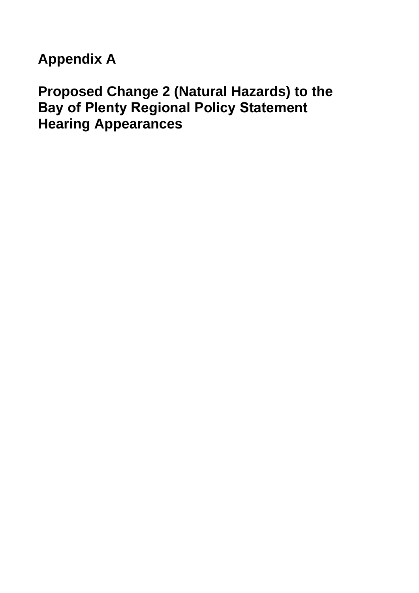**Appendix A** 

# **Proposed Change 2 (Natural Hazards) to the Bay of Plenty Regional Policy Statement Hearing Appearances**